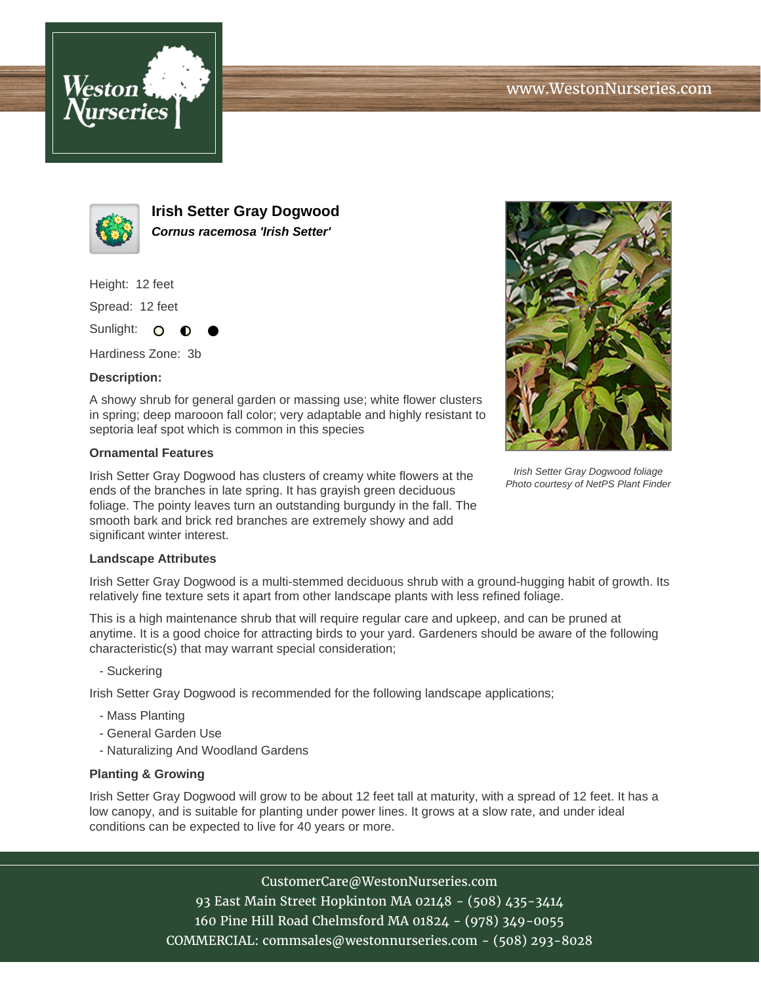



**Irish Setter Gray Dogwood Cornus racemosa 'Irish Setter'**

Height: 12 feet

Spread: 12 feet

Sunlight: O ∩

Hardiness Zone: 3b

## **Description:**

A showy shrub for general garden or massing use; white flower clusters in spring; deep marooon fall color; very adaptable and highly resistant to septoria leaf spot which is common in this species

## **Ornamental Features**

Irish Setter Gray Dogwood has clusters of creamy white flowers at the ends of the branches in late spring. It has grayish green deciduous foliage. The pointy leaves turn an outstanding burgundy in the fall. The smooth bark and brick red branches are extremely showy and add significant winter interest.



Irish Setter Gray Dogwood foliage Photo courtesy of NetPS Plant Finder

## **Landscape Attributes**

Irish Setter Gray Dogwood is a multi-stemmed deciduous shrub with a ground-hugging habit of growth. Its relatively fine texture sets it apart from other landscape plants with less refined foliage.

This is a high maintenance shrub that will require regular care and upkeep, and can be pruned at anytime. It is a good choice for attracting birds to your yard. Gardeners should be aware of the following characteristic(s) that may warrant special consideration;

- Suckering

Irish Setter Gray Dogwood is recommended for the following landscape applications;

- Mass Planting
- General Garden Use
- Naturalizing And Woodland Gardens

## **Planting & Growing**

Irish Setter Gray Dogwood will grow to be about 12 feet tall at maturity, with a spread of 12 feet. It has a low canopy, and is suitable for planting under power lines. It grows at a slow rate, and under ideal conditions can be expected to live for 40 years or more.

> CustomerCare@WestonNurseries.com 93 East Main Street Hopkinton MA 02148 - (508) 435-3414 160 Pine Hill Road Chelmsford MA 01824 - (978) 349-0055 COMMERCIAL: commsales@westonnurseries.com - (508) 293-8028